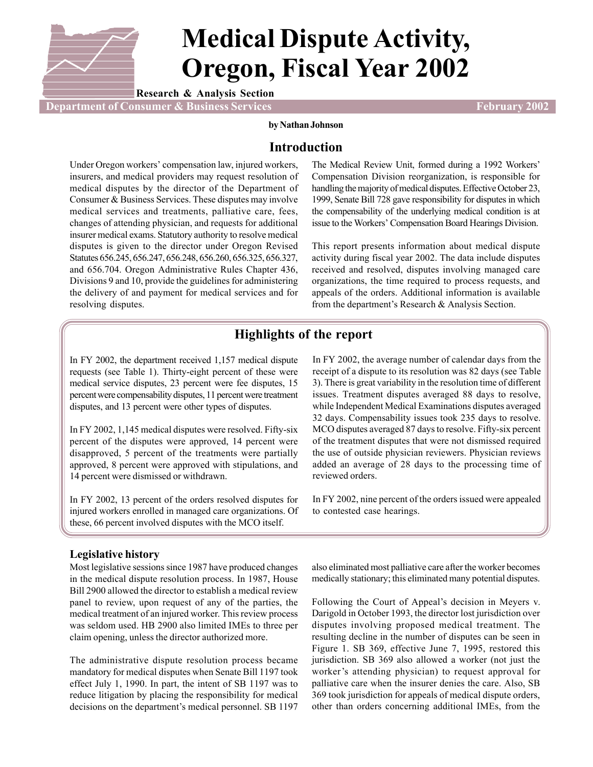

# **Medical Dispute Activity, Oregon, Fiscal Year 2002**

**Research & Analysis Section**

**Proportment of Consumer & Business Services February 2002** 

**by Nathan Johnson**

# **Introduction**

Under Oregon workers' compensation law, injured workers, insurers, and medical providers may request resolution of medical disputes by the director of the Department of Consumer & Business Services. These disputes may involve medical services and treatments, palliative care, fees, changes of attending physician, and requests for additional insurer medical exams. Statutory authority to resolve medical disputes is given to the director under Oregon Revised Statutes 656.245, 656.247, 656.248, 656.260, 656.325, 656.327, and 656.704. Oregon Administrative Rules Chapter 436, Divisions 9 and 10, provide the guidelines for administering the delivery of and payment for medical services and for resolving disputes.

The Medical Review Unit, formed during a 1992 Workers' Compensation Division reorganization, is responsible for handling the majority of medical disputes. Effective October 23, 1999, Senate Bill 728 gave responsibility for disputes in which the compensability of the underlying medical condition is at issue to the Workers' Compensation Board Hearings Division.

This report presents information about medical dispute activity during fiscal year 2002. The data include disputes received and resolved, disputes involving managed care organizations, the time required to process requests, and appeals of the orders. Additional information is available from the department's Research & Analysis Section.

# **Highlights of the report**

In FY 2002, the department received 1,157 medical dispute requests (see Table 1). Thirty-eight percent of these were medical service disputes, 23 percent were fee disputes, 15 percent were compensability disputes, 11 percent were treatment disputes, and 13 percent were other types of disputes.

In FY 2002, 1,145 medical disputes were resolved. Fifty-six percent of the disputes were approved, 14 percent were disapproved, 5 percent of the treatments were partially approved, 8 percent were approved with stipulations, and 14 percent were dismissed or withdrawn.

In FY 2002, 13 percent of the orders resolved disputes for injured workers enrolled in managed care organizations. Of these, 66 percent involved disputes with the MCO itself.

## **Legislative history**

Most legislative sessions since 1987 have produced changes in the medical dispute resolution process. In 1987, House Bill 2900 allowed the director to establish a medical review panel to review, upon request of any of the parties, the medical treatment of an injured worker. This review process was seldom used. HB 2900 also limited IMEs to three per claim opening, unless the director authorized more.

The administrative dispute resolution process became mandatory for medical disputes when Senate Bill 1197 took effect July 1, 1990. In part, the intent of SB 1197 was to reduce litigation by placing the responsibility for medical decisions on the department's medical personnel. SB 1197 In FY 2002, the average number of calendar days from the receipt of a dispute to its resolution was 82 days (see Table 3). There is great variability in the resolution time of different issues. Treatment disputes averaged 88 days to resolve, while Independent Medical Examinations disputes averaged 32 days. Compensability issues took 235 days to resolve. MCO disputes averaged 87 days to resolve. Fifty-six percent of the treatment disputes that were not dismissed required the use of outside physician reviewers. Physician reviews added an average of 28 days to the processing time of reviewed orders.

In FY 2002, nine percent of the orders issued were appealed to contested case hearings.

also eliminated most palliative care after the worker becomes medically stationary; this eliminated many potential disputes.

Following the Court of Appeal's decision in Meyers v. Darigold in October 1993, the director lost jurisdiction over disputes involving proposed medical treatment. The resulting decline in the number of disputes can be seen in Figure 1. SB 369, effective June 7, 1995, restored this jurisdiction. SB 369 also allowed a worker (not just the worker's attending physician) to request approval for palliative care when the insurer denies the care. Also, SB 369 took jurisdiction for appeals of medical dispute orders, other than orders concerning additional IMEs, from the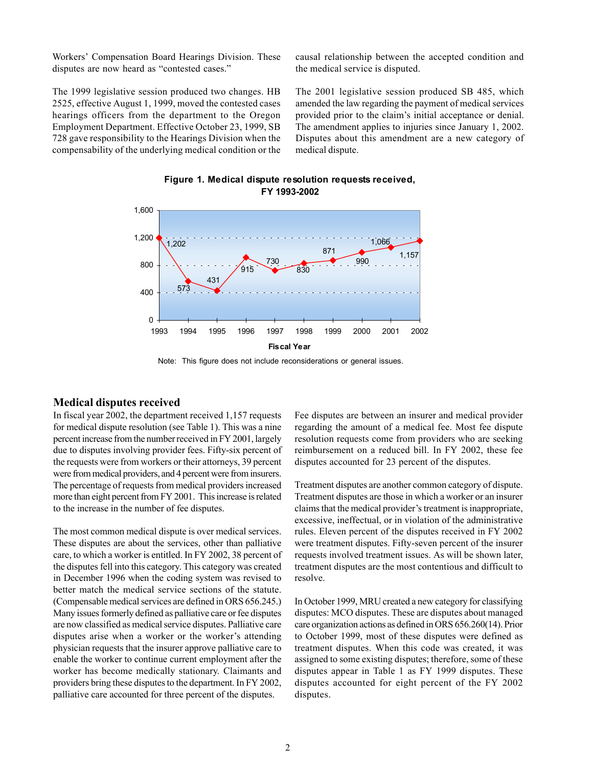Workers' Compensation Board Hearings Division. These disputes are now heard as "contested cases."

The 1999 legislative session produced two changes. HB 2525, effective August 1, 1999, moved the contested cases hearings officers from the department to the Oregon Employment Department. Effective October 23, 1999, SB 728 gave responsibility to the Hearings Division when the compensability of the underlying medical condition or the causal relationship between the accepted condition and the medical service is disputed.

The 2001 legislative session produced SB 485, which amended the law regarding the payment of medical services provided prior to the claim's initial acceptance or denial. The amendment applies to injuries since January 1, 2002. Disputes about this amendment are a new category of medical dispute.





Note: This figure does not include reconsiderations or general issues.

#### **Medical disputes received**

In fiscal year 2002, the department received 1,157 requests for medical dispute resolution (see Table 1). This was a nine percent increase from the number received in FY 2001, largely due to disputes involving provider fees. Fifty-six percent of the requests were from workers or their attorneys, 39 percent were from medical providers, and 4 percent were from insurers. The percentage of requests from medical providers increased more than eight percent from FY 2001. This increase is related to the increase in the number of fee disputes.

The most common medical dispute is over medical services. These disputes are about the services, other than palliative care, to which a worker is entitled. In FY 2002, 38 percent of the disputes fell into this category. This category was created in December 1996 when the coding system was revised to better match the medical service sections of the statute. (Compensable medical services are defined in ORS 656.245.) Many issues formerly defined as palliative care or fee disputes are now classified as medical service disputes. Palliative care disputes arise when a worker or the worker's attending physician requests that the insurer approve palliative care to enable the worker to continue current employment after the worker has become medically stationary. Claimants and providers bring these disputes to the department. In FY 2002, palliative care accounted for three percent of the disputes.

Fee disputes are between an insurer and medical provider regarding the amount of a medical fee. Most fee dispute resolution requests come from providers who are seeking reimbursement on a reduced bill. In FY 2002, these fee disputes accounted for 23 percent of the disputes.

Treatment disputes are another common category of dispute. Treatment disputes are those in which a worker or an insurer claims that the medical provider's treatment is inappropriate, excessive, ineffectual, or in violation of the administrative rules. Eleven percent of the disputes received in FY 2002 were treatment disputes. Fifty-seven percent of the insurer requests involved treatment issues. As will be shown later, treatment disputes are the most contentious and difficult to resolve.

In October 1999, MRU created a new category for classifying disputes: MCO disputes. These are disputes about managed care organization actions as defined in ORS 656.260(14). Prior to October 1999, most of these disputes were defined as treatment disputes. When this code was created, it was assigned to some existing disputes; therefore, some of these disputes appear in Table 1 as FY 1999 disputes. These disputes accounted for eight percent of the FY 2002 disputes.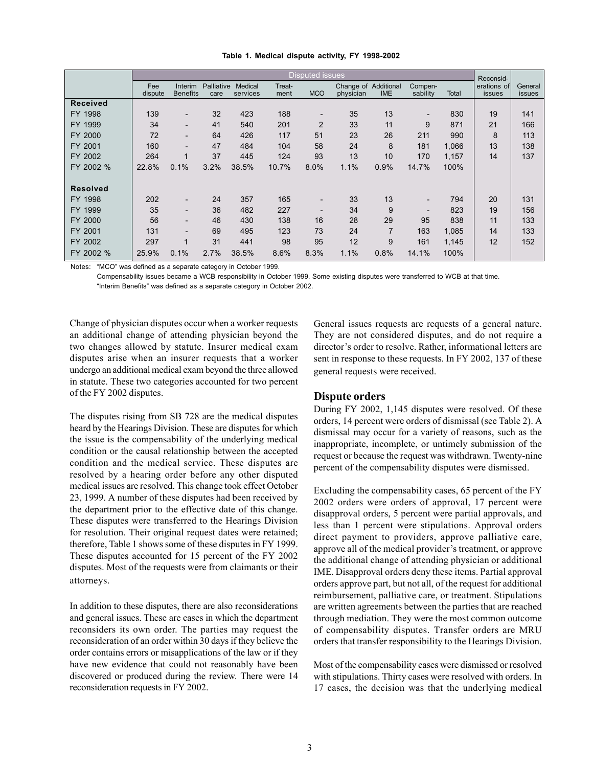|                 | <b>Disputed issues</b> |                                   |                    |                     |                |                |                                   |                |                          | Reconsid- |                              |                          |
|-----------------|------------------------|-----------------------------------|--------------------|---------------------|----------------|----------------|-----------------------------------|----------------|--------------------------|-----------|------------------------------|--------------------------|
|                 | Fee<br>dispute         | <b>Interim</b><br><b>Benefits</b> | Palliative<br>care | Medical<br>services | Treat-<br>ment | <b>MCO</b>     | Change of Additional<br>physician | <b>IME</b>     | Compen-<br>sability      | Total     | erations of<br><i>issues</i> | General<br><i>issues</i> |
| <b>Received</b> |                        |                                   |                    |                     |                |                |                                   |                |                          |           |                              |                          |
| FY 1998         | 139                    | $\qquad \qquad \blacksquare$      | 32                 | 423                 | 188            |                | 35                                | 13             | $\overline{\phantom{a}}$ | 830       | 19                           | 141                      |
| FY 1999         | 34                     | $\overline{\phantom{0}}$          | 41                 | 540                 | 201            | $\overline{2}$ | 33                                | 11             | 9                        | 871       | 21                           | 166                      |
| FY 2000         | 72                     | $\overline{\phantom{0}}$          | 64                 | 426                 | 117            | 51             | 23                                | 26             | 211                      | 990       | 8                            | 113                      |
| FY 2001         | 160                    | $\overline{\phantom{0}}$          | 47                 | 484                 | 104            | 58             | 24                                | 8              | 181                      | 1,066     | 13                           | 138                      |
| FY 2002         | 264                    | 1                                 | 37                 | 445                 | 124            | 93             | 13                                | 10             | 170                      | 1.157     | 14                           | 137                      |
| FY 2002 %       | 22.8%                  | 0.1%                              | 3.2%               | 38.5%               | 10.7%          | 8.0%           | 1.1%                              | 0.9%           | 14.7%                    | 100%      |                              |                          |
|                 |                        |                                   |                    |                     |                |                |                                   |                |                          |           |                              |                          |
| <b>Resolved</b> |                        |                                   |                    |                     |                |                |                                   |                |                          |           |                              |                          |
| FY 1998         | 202                    | $\overline{\phantom{0}}$          | 24                 | 357                 | 165            |                | 33                                | 13             | $\overline{\phantom{a}}$ | 794       | 20                           | 131                      |
| FY 1999         | 35                     | $\overline{\phantom{0}}$          | 36                 | 482                 | 227            |                | 34                                | 9              | $\overline{\phantom{0}}$ | 823       | 19                           | 156                      |
| FY 2000         | 56                     | $\overline{\phantom{0}}$          | 46                 | 430                 | 138            | 16             | 28                                | 29             | 95                       | 838       | 11                           | 133                      |
| FY 2001         | 131                    | $\overline{\phantom{0}}$          | 69                 | 495                 | 123            | 73             | 24                                | $\overline{7}$ | 163                      | 1,085     | 14                           | 133                      |
| FY 2002         | 297                    | 1                                 | 31                 | 441                 | 98             | 95             | 12                                | 9              | 161                      | 1,145     | 12                           | 152                      |
| FY 2002 %       | 25.9%                  | 0.1%                              | 2.7%               | 38.5%               | 8.6%           | 8.3%           | 1.1%                              | 0.8%           | 14.1%                    | 100%      |                              |                          |

#### **Table 1. Medical dispute activity, FY 1998-2002**

Notes: "MCO" was defined as a separate category in October 1999.

Compensability issues became a WCB responsibility in October 1999. Some existing disputes were transferred to WCB at that time. "Interim Benefits" was defined as a separate category in October 2002.

Change of physician disputes occur when a worker requests an additional change of attending physician beyond the two changes allowed by statute. Insurer medical exam disputes arise when an insurer requests that a worker undergo an additional medical exam beyond the three allowed in statute. These two categories accounted for two percent of the FY 2002 disputes.

The disputes rising from SB 728 are the medical disputes heard by the Hearings Division. These are disputes for which the issue is the compensability of the underlying medical condition or the causal relationship between the accepted condition and the medical service. These disputes are resolved by a hearing order before any other disputed medical issues are resolved. This change took effect October 23, 1999. A number of these disputes had been received by the department prior to the effective date of this change. These disputes were transferred to the Hearings Division for resolution. Their original request dates were retained; therefore, Table 1 shows some of these disputes in FY 1999. These disputes accounted for 15 percent of the FY 2002 disputes. Most of the requests were from claimants or their attorneys.

In addition to these disputes, there are also reconsiderations and general issues. These are cases in which the department reconsiders its own order. The parties may request the reconsideration of an order within 30 days if they believe the order contains errors or misapplications of the law or if they have new evidence that could not reasonably have been discovered or produced during the review. There were 14 reconsideration requests in FY 2002.

General issues requests are requests of a general nature. They are not considered disputes, and do not require a director's order to resolve. Rather, informational letters are sent in response to these requests. In FY 2002, 137 of these general requests were received.

## **Dispute orders**

During FY 2002, 1,145 disputes were resolved. Of these orders, 14 percent were orders of dismissal (see Table 2). A dismissal may occur for a variety of reasons, such as the inappropriate, incomplete, or untimely submission of the request or because the request was withdrawn. Twenty-nine percent of the compensability disputes were dismissed.

Excluding the compensability cases, 65 percent of the FY 2002 orders were orders of approval, 17 percent were disapproval orders, 5 percent were partial approvals, and less than 1 percent were stipulations. Approval orders direct payment to providers, approve palliative care, approve all of the medical provider's treatment, or approve the additional change of attending physician or additional IME. Disapproval orders deny these items. Partial approval orders approve part, but not all, of the request for additional reimbursement, palliative care, or treatment. Stipulations are written agreements between the parties that are reached through mediation. They were the most common outcome of compensability disputes. Transfer orders are MRU orders that transfer responsibility to the Hearings Division.

Most of the compensability cases were dismissed or resolved with stipulations. Thirty cases were resolved with orders. In 17 cases, the decision was that the underlying medical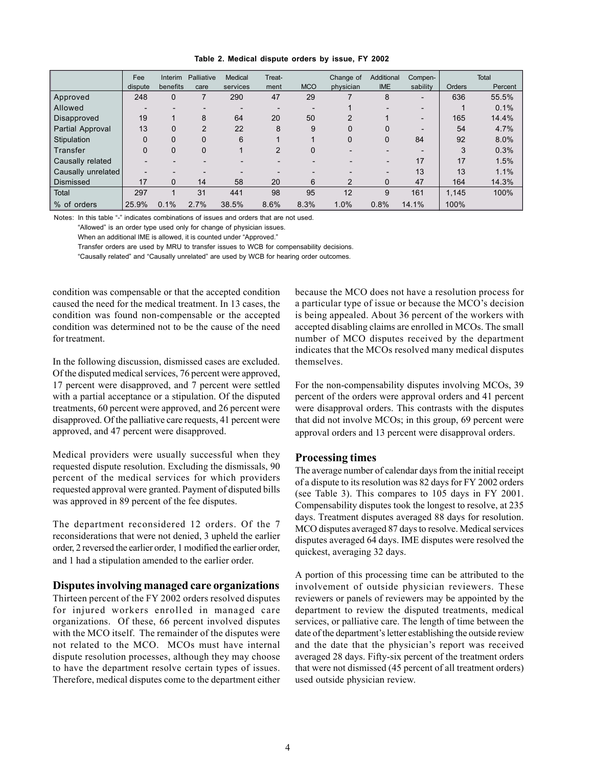|  |  | Table 2. Medical dispute orders by issue, FY 2002 |  |  |  |  |  |  |
|--|--|---------------------------------------------------|--|--|--|--|--|--|
|--|--|---------------------------------------------------|--|--|--|--|--|--|

|                    | Fee      | Interim  | Palliative  | Medical  | Treat- |            | Change of | Additional               | Compen-                  |               | Total   |
|--------------------|----------|----------|-------------|----------|--------|------------|-----------|--------------------------|--------------------------|---------------|---------|
|                    | dispute  | benefits | care        | services | ment   | <b>MCO</b> | physician | <b>IME</b>               | sability                 | <b>Orders</b> | Percent |
| Approved           | 248      | 0        |             | 290      | 47     | 29         |           | 8                        | $\overline{\phantom{a}}$ | 636           | 55.5%   |
| Allowed            |          |          |             |          |        |            |           |                          |                          |               | 0.1%    |
| Disapproved        | 19       |          | 8           | 64       | 20     | 50         | 2         |                          |                          | 165           | 14.4%   |
| Partial Approval   | 13       | $\Omega$ | 2           | 22       | 8      | 9          | 0         | $\Omega$                 |                          | 54            | 4.7%    |
| Stipulation        | $\Omega$ | 0        | $\mathbf 0$ | 6        |        |            | 0         | 0                        | 84                       | 92            | 8.0%    |
| Transfer           | 0        | 0        | 0           |          | 2      | 0          |           |                          |                          | 3             | 0.3%    |
| Causally related   |          |          |             |          |        |            |           | $\overline{\phantom{0}}$ | 17                       | 17            | 1.5%    |
| Causally unrelated |          |          |             |          |        |            |           |                          | 13                       | 13            | 1.1%    |
| <b>Dismissed</b>   | 17       | $\Omega$ | 14          | 58       | 20     | 6          | 2         | 0                        | 47                       | 164           | 14.3%   |
| Total              | 297      |          | 31          | 441      | 98     | 95         | 12        | 9                        | 161                      | 1.145         | 100%    |
| % of orders        | 25.9%    | 0.1%     | 2.7%        | 38.5%    | 8.6%   | 8.3%       | 1.0%      | 0.8%                     | 14.1%                    | 100%          |         |

Notes: In this table "-" indicates combinations of issues and orders that are not used.

"Allowed" is an order type used only for change of physician issues.

When an additional IME is allowed, it is counted under "Approved."

Transfer orders are used by MRU to transfer issues to WCB for compensability decisions.

"Causally related" and "Causally unrelated" are used by WCB for hearing order outcomes.

condition was compensable or that the accepted condition caused the need for the medical treatment. In 13 cases, the condition was found non-compensable or the accepted condition was determined not to be the cause of the need for treatment.

In the following discussion, dismissed cases are excluded. Of the disputed medical services, 76 percent were approved, 17 percent were disapproved, and 7 percent were settled with a partial acceptance or a stipulation. Of the disputed treatments, 60 percent were approved, and 26 percent were disapproved. Of the palliative care requests, 41 percent were approved, and 47 percent were disapproved.

Medical providers were usually successful when they requested dispute resolution. Excluding the dismissals, 90 percent of the medical services for which providers requested approval were granted. Payment of disputed bills was approved in 89 percent of the fee disputes.

The department reconsidered 12 orders. Of the 7 reconsiderations that were not denied, 3 upheld the earlier order, 2 reversed the earlier order, 1 modified the earlier order, and 1 had a stipulation amended to the earlier order.

#### **Disputes involving managed care organizations**

Thirteen percent of the FY 2002 orders resolved disputes for injured workers enrolled in managed care organizations. Of these, 66 percent involved disputes with the MCO itself. The remainder of the disputes were not related to the MCO. MCOs must have internal dispute resolution processes, although they may choose to have the department resolve certain types of issues. Therefore, medical disputes come to the department either

because the MCO does not have a resolution process for a particular type of issue or because the MCO's decision is being appealed. About 36 percent of the workers with accepted disabling claims are enrolled in MCOs. The small number of MCO disputes received by the department indicates that the MCOs resolved many medical disputes themselves.

For the non-compensability disputes involving MCOs, 39 percent of the orders were approval orders and 41 percent were disapproval orders. This contrasts with the disputes that did not involve MCOs; in this group, 69 percent were approval orders and 13 percent were disapproval orders.

#### **Processing times**

The average number of calendar days from the initial receipt of a dispute to its resolution was 82 days for FY 2002 orders (see Table 3). This compares to 105 days in FY 2001. Compensability disputes took the longest to resolve, at 235 days. Treatment disputes averaged 88 days for resolution. MCO disputes averaged 87 days to resolve. Medical services disputes averaged 64 days. IME disputes were resolved the quickest, averaging 32 days.

A portion of this processing time can be attributed to the involvement of outside physician reviewers. These reviewers or panels of reviewers may be appointed by the department to review the disputed treatments, medical services, or palliative care. The length of time between the date of the department's letter establishing the outside review and the date that the physician's report was received averaged 28 days. Fifty-six percent of the treatment orders that were not dismissed (45 percent of all treatment orders) used outside physician review.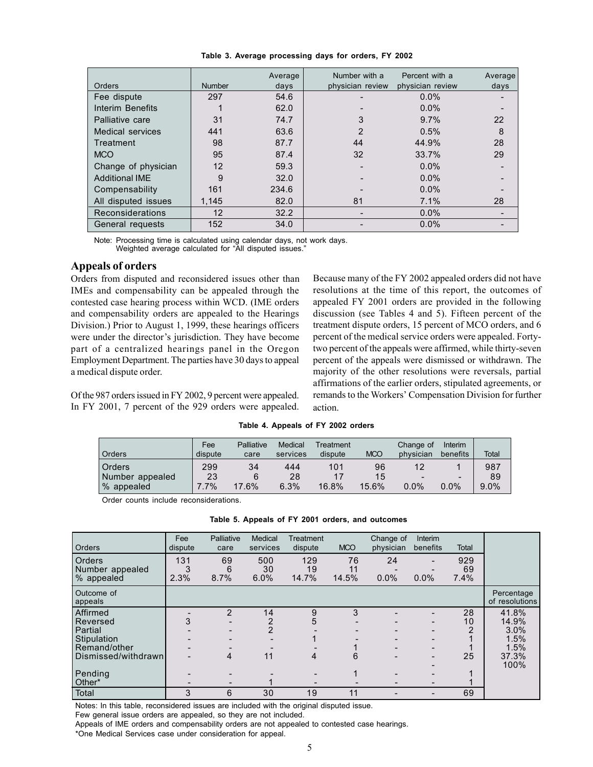|                       |               | Average | Number with a    | Percent with a   | Average |
|-----------------------|---------------|---------|------------------|------------------|---------|
| Orders                | <b>Number</b> | days    | physician review | physician review | days    |
| Fee dispute           | 297           | 54.6    |                  | $0.0\%$          |         |
| Interim Benefits      |               | 62.0    |                  | 0.0%             |         |
| Palliative care       | 31            | 74.7    |                  | 9.7%             | 22      |
| Medical services      | 441           | 63.6    |                  | 0.5%             | 8       |
| Treatment             | 98            | 87.7    | 44               | 44.9%            | 28      |
| <b>MCO</b>            | 95            | 87.4    | 32               | 33.7%            | 29      |
| Change of physician   | 12            | 59.3    |                  | 0.0%             |         |
| <b>Additional IME</b> | 9             | 32.0    |                  | 0.0%             |         |
| Compensability        | 161           | 234.6   |                  | $0.0\%$          |         |
| All disputed issues   | 1,145         | 82.0    | 81               | 7.1%             | 28      |
| Reconsiderations      | 12            | 32.2    |                  | 0.0%             |         |
| General requests      | 152           | 34.0    |                  | 0.0%             |         |

**Table 3. Average processing days for orders, FY 2002**

Note: Processing time is calculated using calendar days, not work days. Weighted average calculated for "All disputed issues."

### **Appeals of orders**

Orders from disputed and reconsidered issues other than IMEs and compensability can be appealed through the contested case hearing process within WCD. (IME orders and compensability orders are appealed to the Hearings Division.) Prior to August 1, 1999, these hearings officers were under the director's jurisdiction. They have become part of a centralized hearings panel in the Oregon Employment Department. The parties have 30 days to appeal a medical dispute order.

Of the 987 orders issued in FY 2002, 9 percent were appealed. In FY 2001, 7 percent of the 929 orders were appealed. Because many of the FY 2002 appealed orders did not have resolutions at the time of this report, the outcomes of appealed FY 2001 orders are provided in the following discussion (see Tables 4 and 5). Fifteen percent of the treatment dispute orders, 15 percent of MCO orders, and 6 percent of the medical service orders were appealed. Fortytwo percent of the appeals were affirmed, while thirty-seven percent of the appeals were dismissed or withdrawn. The majority of the other resolutions were reversals, partial affirmations of the earlier orders, stipulated agreements, or remands to the Workers' Compensation Division for further action.

|  | Table 4. Appeals of FY 2002 orders |  |  |  |
|--|------------------------------------|--|--|--|
|--|------------------------------------|--|--|--|

| Orders          | Fee<br>dispute | Palliative<br>care | Medical<br>services | Treatment<br>dispute | <b>MCO</b> | Change of<br>physician   | Interim<br>benefits      | Total   |
|-----------------|----------------|--------------------|---------------------|----------------------|------------|--------------------------|--------------------------|---------|
| Orders          | 299            | 34                 | 444                 | 101                  | 96         | 12                       |                          | 987     |
| Number appealed | 23             |                    | 28                  |                      | 15         | $\overline{\phantom{0}}$ | $\overline{\phantom{0}}$ | 89      |
| % appealed      | $.7\%$         | 17.6%              | 6.3%                | 16.8%                | 15.6%      | $0.0\%$                  | $0.0\%$                  | $9.0\%$ |

Order counts include reconsiderations.

| <b>Orders</b>                                        | Fee<br>dispute   | Palliative<br>care | Medical<br>services | Treatment<br>dispute | <b>MCO</b>        | Change of<br>physician | Interim<br>benefits | <b>Total</b>      |                              |
|------------------------------------------------------|------------------|--------------------|---------------------|----------------------|-------------------|------------------------|---------------------|-------------------|------------------------------|
| <b>Orders</b><br>Number appealed<br>% appealed       | 131<br>3<br>2.3% | 69<br>6<br>8.7%    | 500<br>30<br>6.0%   | 129<br>19<br>14.7%   | 76<br>11<br>14.5% | 24<br>0.0%             | 0.0%                | 929<br>69<br>7.4% |                              |
| Outcome of<br>appeals                                |                  |                    |                     |                      |                   |                        |                     |                   | Percentage<br>of resolutions |
| Affirmed<br>Reversed                                 | 3                | 2                  | 14                  | 9<br>5               | 3                 |                        |                     | 28<br>10          | 41.8%<br>14.9%               |
| <b>Partial</b><br><b>Stipulation</b><br>Remand/other |                  |                    | 2                   |                      |                   |                        |                     | 2                 | 3.0%<br>1.5%<br>1.5%         |
| Dismissed/withdrawn                                  |                  | 4                  | 11                  | 4                    | 6                 |                        |                     | 25                | 37.3%<br>100%                |
| Pending<br>Other*                                    |                  |                    |                     |                      |                   |                        |                     |                   |                              |
| Total                                                | 3                | 6                  | 30                  | 19                   | 11                |                        |                     | 69                |                              |

**Table 5. Appeals of FY 2001 orders, and outcomes**

Notes: In this table, reconsidered issues are included with the original disputed issue.

Few general issue orders are appealed, so they are not included.

Appeals of IME orders and compensability orders are not appealed to contested case hearings.

\*One Medical Services case under consideration for appeal.